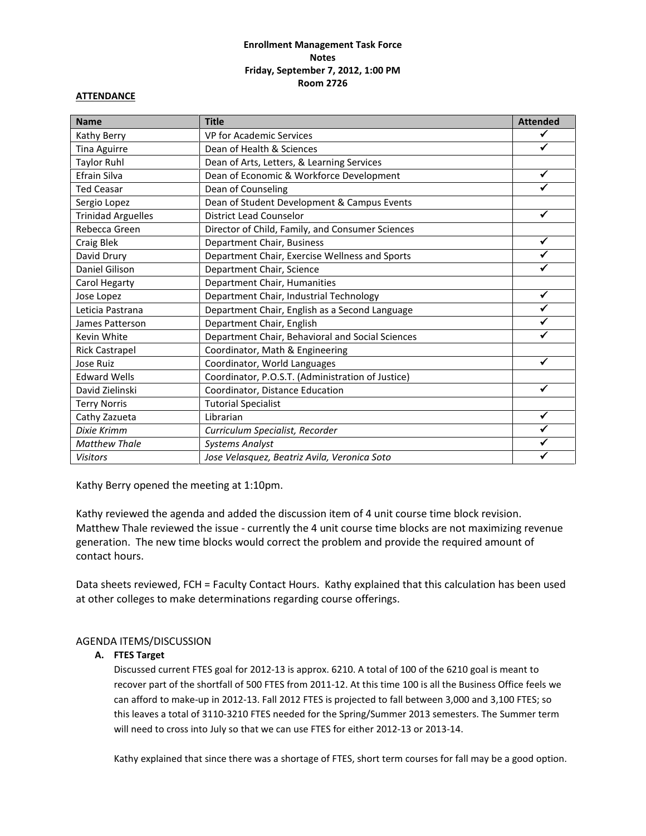## **Enrollment Management Task Force Notes Friday, September 7, 2012, 1:00 PM Room 2726**

#### **ATTENDANCE**

| <b>Name</b>               | <b>Title</b>                                      | <b>Attended</b> |
|---------------------------|---------------------------------------------------|-----------------|
| Kathy Berry               | VP for Academic Services                          |                 |
| Tina Aguirre              | Dean of Health & Sciences                         |                 |
| <b>Taylor Ruhl</b>        | Dean of Arts, Letters, & Learning Services        |                 |
| Efrain Silva              | Dean of Economic & Workforce Development          | ✓               |
| <b>Ted Ceasar</b>         | Dean of Counseling                                |                 |
| Sergio Lopez              | Dean of Student Development & Campus Events       |                 |
| <b>Trinidad Arguelles</b> | <b>District Lead Counselor</b>                    |                 |
| Rebecca Green             | Director of Child, Family, and Consumer Sciences  |                 |
| Craig Blek                | Department Chair, Business                        |                 |
| David Drury               | Department Chair, Exercise Wellness and Sports    |                 |
| Daniel Gilison            | Department Chair, Science                         |                 |
| Carol Hegarty             | Department Chair, Humanities                      |                 |
| Jose Lopez                | Department Chair, Industrial Technology           | ✓               |
| Leticia Pastrana          | Department Chair, English as a Second Language    |                 |
| James Patterson           | Department Chair, English                         |                 |
| Kevin White               | Department Chair, Behavioral and Social Sciences  |                 |
| <b>Rick Castrapel</b>     | Coordinator, Math & Engineering                   |                 |
| Jose Ruiz                 | Coordinator, World Languages                      | ✓               |
| <b>Edward Wells</b>       | Coordinator, P.O.S.T. (Administration of Justice) |                 |
| David Zielinski           | Coordinator, Distance Education                   | ✔               |
| <b>Terry Norris</b>       | <b>Tutorial Specialist</b>                        |                 |
| Cathy Zazueta             | Librarian                                         | ✓               |
| Dixie Krimm               | Curriculum Specialist, Recorder                   |                 |
| <b>Matthew Thale</b>      | <b>Systems Analyst</b>                            |                 |
| <b>Visitors</b>           | Jose Velasquez, Beatriz Avila, Veronica Soto      |                 |

Kathy Berry opened the meeting at 1:10pm.

Kathy reviewed the agenda and added the discussion item of 4 unit course time block revision. Matthew Thale reviewed the issue - currently the 4 unit course time blocks are not maximizing revenue generation. The new time blocks would correct the problem and provide the required amount of contact hours.

Data sheets reviewed, FCH = Faculty Contact Hours. Kathy explained that this calculation has been used at other colleges to make determinations regarding course offerings.

## AGENDA ITEMS/DISCUSSION

# **A. FTES Target**

Discussed current FTES goal for 2012-13 is approx. 6210. A total of 100 of the 6210 goal is meant to recover part of the shortfall of 500 FTES from 2011-12. At this time 100 is all the Business Office feels we can afford to make-up in 2012-13. Fall 2012 FTES is projected to fall between 3,000 and 3,100 FTES; so this leaves a total of 3110-3210 FTES needed for the Spring/Summer 2013 semesters. The Summer term will need to cross into July so that we can use FTES for either 2012-13 or 2013-14.

Kathy explained that since there was a shortage of FTES, short term courses for fall may be a good option.